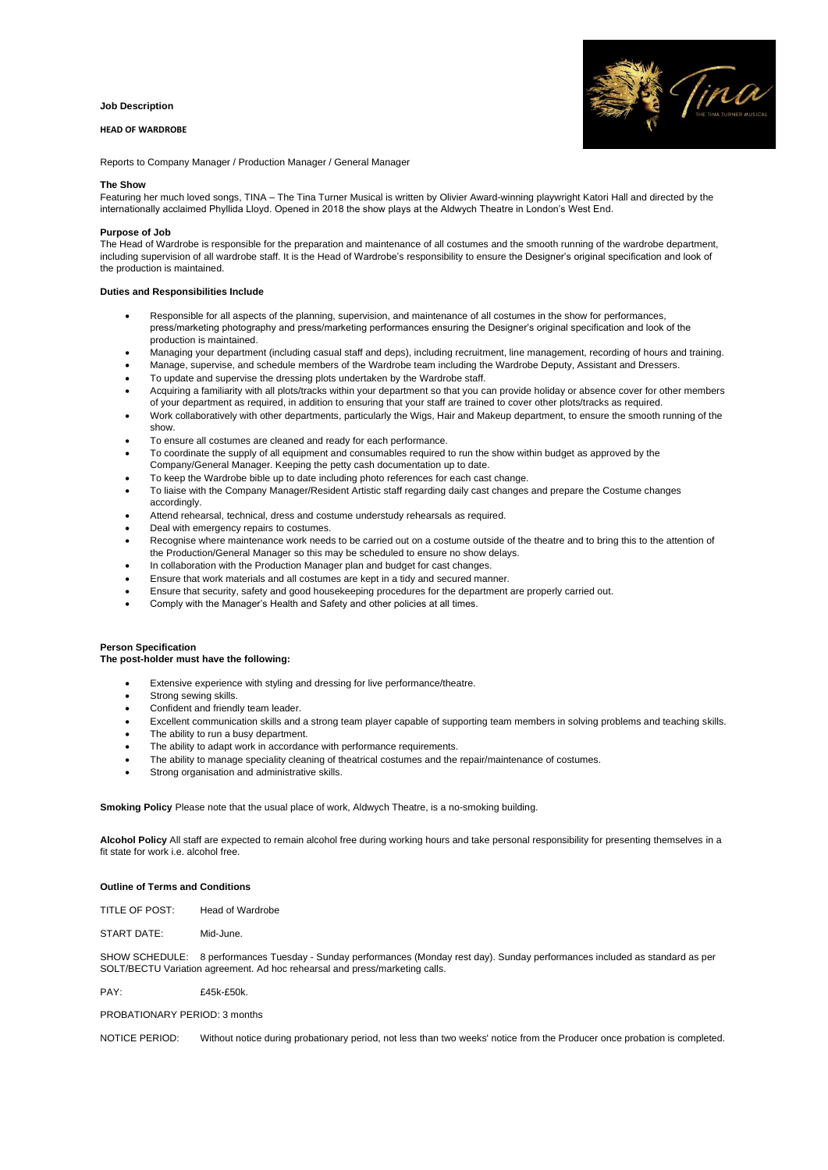#### **Job Description**

# **HEAD OF WARDROBE**



Reports to Company Manager / Production Manager / General Manager

#### **The Show**

Featuring her much loved songs, TINA – The Tina Turner Musical is written by Olivier Award-winning playwright Katori Hall and directed by the internationally acclaimed Phyllida Lloyd. Opened in 2018 the show plays at the Aldwych Theatre in London's West End.

# **Purpose of Job**

The Head of Wardrobe is responsible for the preparation and maintenance of all costumes and the smooth running of the wardrobe department, including supervision of all wardrobe staff. It is the Head of Wardrobe's responsibility to ensure the Designer's original specification and look of the production is maintained.

#### **Duties and Responsibilities Include**

- Responsible for all aspects of the planning, supervision, and maintenance of all costumes in the show for performances, press/marketing photography and press/marketing performances ensuring the Designer's original specification and look of the production is maintained.
- Managing your department (including casual staff and deps), including recruitment, line management, recording of hours and training.
- Manage, supervise, and schedule members of the Wardrobe team including the Wardrobe Deputy, Assistant and Dressers.
- To update and supervise the dressing plots undertaken by the Wardrobe staff.
- Acquiring a familiarity with all plots/tracks within your department so that you can provide holiday or absence cover for other members of your department as required, in addition to ensuring that your staff are trained to cover other plots/tracks as required.
- Work collaboratively with other departments, particularly the Wigs, Hair and Makeup department, to ensure the smooth running of the show.
- To ensure all costumes are cleaned and ready for each performance.
- To coordinate the supply of all equipment and consumables required to run the show within budget as approved by the
- Company/General Manager. Keeping the petty cash documentation up to date.
- To keep the Wardrobe bible up to date including photo references for each cast change.
- To liaise with the Company Manager/Resident Artistic staff regarding daily cast changes and prepare the Costume changes accordingly.
- Attend rehearsal, technical, dress and costume understudy rehearsals as required.
- Deal with emergency repairs to costumes.
- Recognise where maintenance work needs to be carried out on a costume outside of the theatre and to bring this to the attention of the Production/General Manager so this may be scheduled to ensure no show delays.
- In collaboration with the Production Manager plan and budget for cast changes.
- Ensure that work materials and all costumes are kept in a tidy and secured manner.
- Ensure that security, safety and good housekeeping procedures for the department are properly carried out.
- Comply with the Manager's Health and Safety and other policies at all times.

### **Person Specification**

#### **The post-holder must have the following:**

- Extensive experience with styling and dressing for live performance/theatre.
- Strong sewing skills.
- Confident and friendly team leader.
- Excellent communication skills and a strong team player capable of supporting team members in solving problems and teaching skills.
- The ability to run a busy department.
- The ability to adapt work in accordance with performance requirements.
- The ability to manage speciality cleaning of theatrical costumes and the repair/maintenance of costumes.
- Strong organisation and administrative skills.

**Smoking Policy** Please note that the usual place of work, Aldwych Theatre, is a no-smoking building.

**Alcohol Policy** All staff are expected to remain alcohol free during working hours and take personal responsibility for presenting themselves in a fit state for work i.e. alcohol free.

### **Outline of Terms and Conditions**

TITLE OF POST: Head of Wardrobe

START DATE: Mid-June.

SHOW SCHEDULE: 8 performances Tuesday - Sunday performances (Monday rest day). Sunday performances included as standard as per SOLT/BECTU Variation agreement. Ad hoc rehearsal and press/marketing calls.

PAY: £45k-£50k.

# PROBATIONARY PERIOD: 3 months

NOTICE PERIOD: Without notice during probationary period, not less than two weeks' notice from the Producer once probation is completed.